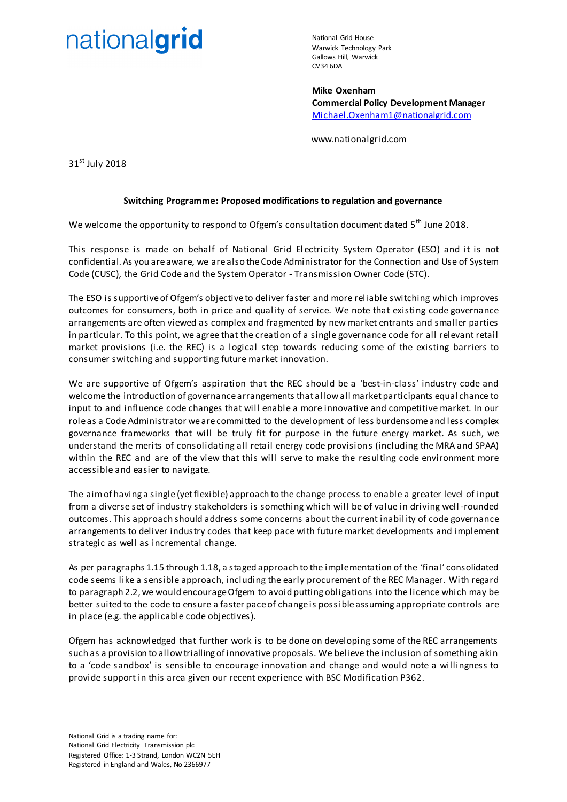# nationalgrid

National Grid House Warwick Technology Park Gallows Hill, Warwick CV34 6DA

**Mike Oxenham Commercial Policy Development Manager** [Michael.Oxenham1@nationalgrid.com](mailto:Michael.Oxenham1@nationalgrid.com)

www.nationalgrid.com

31<sup>st</sup> July 2018

# **Switching Programme: Proposed modifications to regulation and governance**

We welcome the opportunity to respond to Ofgem's consultation document dated 5<sup>th</sup> June 2018.

This response is made on behalf of National Grid El ectricity System Operator (ESO) and it is not confidential. As you are aware, we are also the Code Administrator for the Connection and Use of System Code (CUSC), the Grid Code and the System Operator - Transmission Owner Code (STC).

The ESO is supportive of Ofgem's objective to deliver faster and more reliable switching which improves outcomes for consumers, both in price and quality of service. We note that existing code governance arrangements are often viewed as complex and fragmented by new market entrants and smaller parties in particular. To this point, we agree that the creation of a single governance code for all relevant retail market provisions (i.e. the REC) is a logical step towards reducing some of the existing barriers to consumer switching and supporting future market innovation.

We are supportive of Ofgem's aspiration that the REC should be a 'best-in-class' industry code and welcome the introduction of governance arrangements that allow all market participants equal chance to input to and influence code changes that will enable a more innovative and competitive market. In our role as a Code Administrator we are committed to the development of less burdensome and less complex governance frameworks that will be truly fit for purpose in the future energy market. As such, we understand the merits of consolidating all retail energy code provisions (including the MRA and SPAA) within the REC and are of the view that this will serve to make the resulting code environment more accessible and easier to navigate.

The aim of having a single (yet flexible) approach to the change process to enable a greater level of input from a diverse set of industry stakeholders is something which will be of value in driving well -rounded outcomes. This approach should address some concerns about the current inability of code governance arrangements to deliver industry codes that keep pace with future market developments and implement strategic as well as incremental change.

As per paragraphs 1.15 through 1.18, a staged approach to the implementation of the 'final' consolidated code seems like a sensible approach, including the early procurement of the REC Manager. With regard to paragraph 2.2, we would encourage Ofgem to avoid putting obligations into the licence which may be better suited to the code to ensure a faster pace of change is possi ble assuming appropriate controls are in place (e.g. the applicable code objectives).

Ofgem has acknowledged that further work is to be done on developing some of the REC arrangements such as a provision to allow trialling of innovative proposals. We believe the inclusion of something akin to a 'code sandbox' is sensible to encourage innovation and change and would note a willingness to provide support in this area given our recent experience with BSC Modification P362.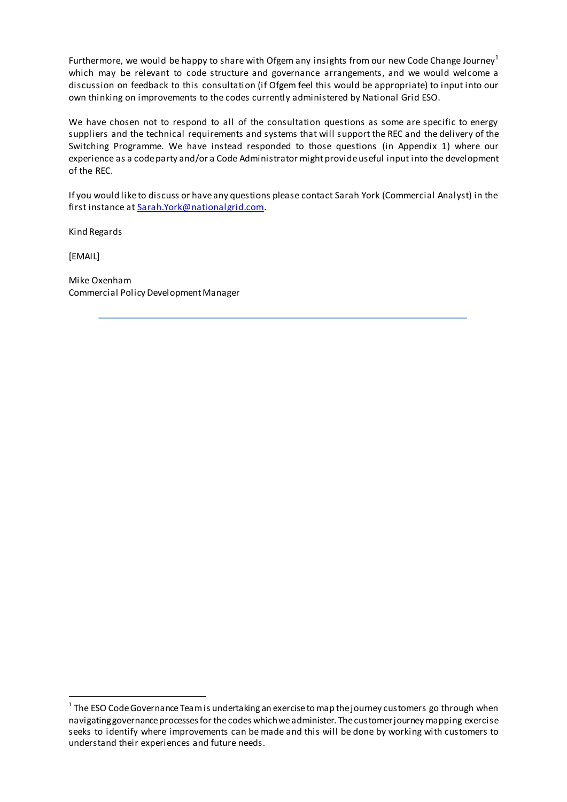Furthermore, we would be happy to share with Ofgem any insights from our new Code Change Journey<sup>1</sup> which may be relevant to code structure and governance arrangements, and we would welcome a discussion on feedback to this consultation (if Ofgem feel this would be appropriate) to input into our own thinking on improvements to the codes currently administered by National Grid ESO.

We have chosen not to respond to all of the consultation questions as some are specific to energy suppliers and the technical requirements and systems that will support the REC and the delivery of the Switching Programme. We have instead responded to those questions (in Appendix 1) where our experience as a code party and/or a Code Administrator might provide useful input into the development of the REC.

If you would like to discuss or have any questions please contact Sarah York (Commercial Analyst) in the first instance a[t Sarah.York@nationalgrid.com](mailto:Sarah.York@nationalgrid.com).

Kind Regards

[EMAIL]

 $\overline{a}$ 

Mike Oxenham Commercial Policy Development Manager

 $^{\rm 1}$  The ESO Code Governance Team is undertaking an exercise to map the journey customers go through when navigating governance processes for the codes which we administer. Thecustomer journey mapping exercise seeks to identify where improvements can be made and this will be done by working with customers to understand their experiences and future needs.